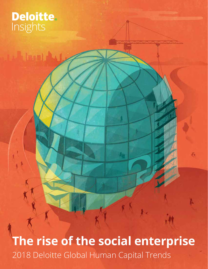# **Deloitte.**<br>Insights

**The rise of the social enterprise** 2018 Deloitte Global Human Capital Trends

 $\overline{\epsilon}$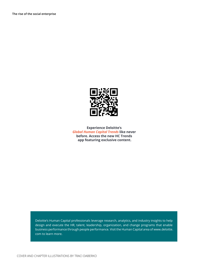

**Experience Deloitte's** *Global Human Capital Trends* **like never before. Access the new HC Trends app featuring exclusive content.**

Deloitte's Human Capital professionals leverage research, analytics, and industry insights to help design and execute the HR, talent, leadership, organization, and change programs that enable business performance through people performance. Visit the Human Capital area of www.deloitte. com to learn more.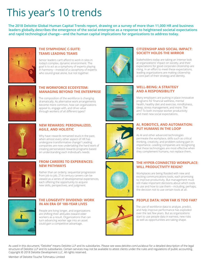# This year's 10 trends

**The 2018 Deloitte Global Human Capital Trends report, drawing on a survey of more than 11,000 HR and business leaders globally,describes the emergence of the social enterprise as a response to heightened societal expectations and rapid technological change—and the human capital implications for organizations to address today.**



# **THE SYMPHONIC C-SUITE: TEAMS LEADING TEAMS**

Senior leaders can't afford to work in silos in today's complex, dynamic environment. The goal is to act as a symphony of experts playing in harmony—instead of a cacophony of experts who sound great alone, but not together.



# **THE WORKFORCE ECOSYSTEM: MANAGING BEYOND THE ENTERPRISE**

The composition of the workforce is changing dramatically. As alternative work arrangements become more common, how can organizations appeal to, engage with, and drive value through workers of all different types?



# **NEW REWARDS: PERSONALIZED, AGILE, AND HOLISTIC**

Why have rewards remained stuck in the past, when almost every other aspect of HR has undergone transformative change? Leading companies are now undertaking the hard work of creating personalized rewards programs based on understanding each individual's needs.



# **FROM CAREERS TO EXPERIENCES: NEW PATHWAYS**

Rather than an orderly, sequential progression from job to job, 21st-century careers can be viewed as a series of developmental experiences, each offering the opportunity to acquire new skills, perspectives, and judgment.



## **THE LONGEVITY DIVIDEND: WORK IN AN ERA OF 100-YEAR LIVES**

People are living longer, and organizations are shifting their attitudes toward older workers as a result. Organizations that can turn advancing worker age into an asset could gain a competitive advantage.











# **CITIZENSHIP AND SOCIAL IMPACT: SOCIETY HOLDS THE MIRROR**

Stakeholders today are taking an intense look at organizations' impact on society, and their expectations for good corporate citizenship are rising. In an effort to meet these expectations, leading organizations are making citizenship a core part of their strategy and identity.

# **WELL-BEING: A STRATEGY AND A RESPONSIBILITY**

Many employers are putting in place innovative programs for financial wellness, mental health, healthy diet and exercise, mindfulness, sleep, stress management, and more. The aim? To both increase worker productivity and meet new social expectations.

# **AI, ROBOTICS, AND AUTOMATION: PUT HUMANS IN THE LOOP**

As AI and other advanced technologies permeate the workplace, skills such as critical thinking, creativity, and problem-solving gain in importance. Leading companies are recognizing that these technologies are most effective when they complement humans, not replace them.

## **THE HYPER-CONNECTED WORKPLACE: WILL PRODUCTIVITY REIGN?**

Workplaces are being flooded with new and exciting communications tools, each promising to improve productivity. But management must still make important decisions about which tools to use and how to use them—including, perhaps, the decision not to use certain tools at all.

# **PEOPLE DATA: HOW FAR IS TOO FAR?**

The use of workforce data to analyze, predict, and help improve performance has exploded over the last few years. But as organizations start to use people data in earnest, new risks as well as opportunities are taking shape.

As used in this document, "Deloitte" means Deloitte LLP and its subsidiaries. Please see www.deloitte.com/us/about for a detailed description of the legal structure of Deloitte LLP and its subsidiaries. Certain services may not be available to attest clients under the rules and regulations of public accounting. Copyright © 2018 Deloitte Development LLC. All rights reserved.

Member of Deloitte Touche Tohmatsu Limited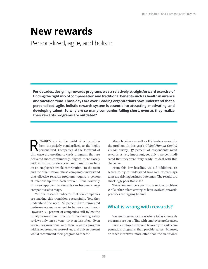# **New rewards**

Personalized, agile, and holistic

**For decades, designing rewards programs was a relatively straightforward exercise of finding the right mix of compensation and traditional benefits such as health insurance and vacation time. Those days are over. Leading organizations now understand that a personalized, agile, holistic rewards system is essential to attracting, motivating, and developing talent. So why are so many companies falling short, even as they realize their rewards programs are outdated?** 

EWARDS are in the midst of a transition<br>from the strictly standardized to the highly<br>personalized. Companies at the forefront of from the strictly standardized to the highly personalized. Companies at the forefront of this wave are creating rewards programs that are delivered more continuously, aligned more closely with individual preferences, and based more fully on an employee's whole contribution—to the team and the organization. These companies understand that effective rewards programs require a personal relationship with each worker. Done correctly, this new approach to rewards can become a huge competitive advantage.

Yet our research indicates that few companies are making this transition successfully. Yes, they understand the need; 76 percent have reinvented performance management to be more continuous. However, 91 percent of companies still follow the utterly conventional practice of conducting salary reviews only once a year—or even less often.<sup>1</sup> Even worse, organizations rate their rewards program with a net promoter score of -15, and only 21 percent would recommend their program to others.<sup>2</sup>

Many business as well as HR leaders recognize the problem. In this year's *Global Human Capital Trends* survey, 37 percent of respondents rated rewards as very important, yet only 9 percent indicated that they were "very ready" to deal with this challenge.

From this low baseline, we did additional research to try to understand how well rewards systems are driving business outcomes. The results are shockingly poor (table 1).<sup>3</sup>

These low numbers point to a serious problem. While other talent strategies have evolved, rewards practices are lagging behind.

# **What is wrong with rewards?**

We see three major areas where today's rewards programs are out of line with employee preferences.

First, employees respond favorably to agile compensation programs that provide raises, bonuses, or other incentives more often than the traditional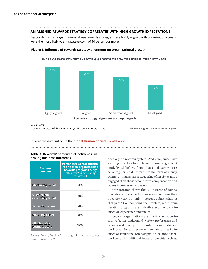# **AN ALIGNED REWARDS STRATEGY CORRELATES WITH HIGH GROWTH EXPECTATIONS**

Respondents from organizations whose rewards strategies were highly aligned with organizational goals were the most likely to anticipate growth of 10 percent or more.

#### **Figure 1. Influence of rewards strategy alignment on organizational growth**



**SHARE OF EACH COHORT EXPECTING GROWTH OF 10% OR MORE IN THE NEXT YEAR**

*n = 11,069*

Source: Deloitte *Global Human Capital Trends* survey, 2018.

**Deloitte Insights | deloitte.com/insights**

Explore the data further in the **[Global Human Capital Trends app](https://rebrand.ly/cbde)**.

#### **Table 1. Rewards' perceived effectiveness in driving business outcomes**

| <b>Business</b><br>outcome       | <b>Percentage of respondents</b><br>rating their organization's<br>rewards programs "very<br>effective" in achieving<br>this result |
|----------------------------------|-------------------------------------------------------------------------------------------------------------------------------------|
| <b>Motivating talent</b>         | 3%                                                                                                                                  |
| Growing and<br>developing talent | 5%                                                                                                                                  |
| <b>Attracting talent</b>         | 6%                                                                                                                                  |
| <b>Retaining talent</b>          | 8%                                                                                                                                  |
| Aligning with<br>business goals  | 12%                                                                                                                                 |

Source: Bersin, Deloitte Consulting LLP, High-impact total rewards research, 2018.

once-a-year rewards system. And companies have a strong incentive to implement these programs. A study by Globoforce found that employees who receive regular small rewards, in the form of money, points, or thanks, are a staggering *eight times* more engaged than those who receive compensation and bonus increases once a year.4

Our research shows that 20 percent of companies give workers performance ratings more than once per year, but only 9 percent adjust salary at that pace.5 Compounding the problem, most remuneration programs are inflexible and narrowly focused on experience and tenure.

Second, organizations are missing an opportunity to better understand worker preferences and tailor a wider range of rewards to a more diverse workforce. Rewards programs remain primarily focused on traditional (on-campus, on-balance-sheet) workers and traditional types of benefits such as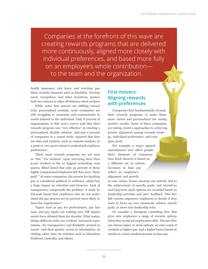Companies at the forefront of this wave are creating rewards programs that are delivered more continuously, aligned more closely with individual preferences, and based more fully on an employee's whole contribution to the team and the organization.

health insurance, sick leave, and overtime pay. Many exclude elements such as flexibility, development, recognition, and other incentives, particularly for contract or other off-balance-sheet workers.

While some first movers are shifting toward truly personalized rewards, most companies are still struggling to customize and communicate rewards tailored to the individual. Only 8 percent of organizations in this year's survey said that their rewards program was "very effective" at creating a personalized, flexible solution. And just 9 percent of companies in a recent study reported that they use data and analysis, such as conjoint analysis, to a great or very great extent to understand employee preferences.<sup>6</sup>

Third, most rewards programs are not seen as "fair." For instance, upon surveying more than 4,000 workers at the 10 biggest technology companies, Blind found that only 45 percent of those highly compensated employees felt they were "fairly paid."7 At many companies, the process for deciding pay is considered political or arbitrary, which has a huge impact on retention and turnover. Lack of transparency compounds the problem: A study by Payscale found that employees who do not understand the pay process are 60 percent more likely to leave the organization.<sup>8</sup>

Topics such as pay for performance, pay fairness, and pay equity are nothing new; HR departments have debated them for decades. What makes things different today are workers' increased expectations—for transparency and flexibility around rewards—and their greater access to information, including salary data via websites such as Glassdoor, Fishbowl, LinkedIn, and others.

# **First movers: Aligning rewards with preferences**

Companies that fundamentally revamp their rewards programs to make them more varied and personalized are seeing positive results. Some of these companies are taking creative approaches to achieving greater alignment among rewards strategy, individual preferences, and company goals.

For example, a major apparel manufacturer now offers people three elements of remuneration. Each element is based on a different set of criteria: Increases in base pay reflect an employee's alignment and growth

in core values; bonus amounts are entirely tied to the achievement of specific goals; and incentives and long-term stock options are awarded based on leadership activities and 360° feedback. This flexible system empowers employees to decide if they want to focus on core teamwork, achieve stretch goals, or move into leadership roles.

Or consider a European consulting firm that gives new employees a range of rewards options when they accept an employment offer. The new hire can choose salary or stock options; an extra week of vacation or higher pay; and a higher bonus based on results or a more modest increase in base pay.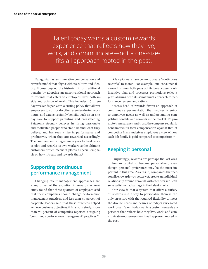Talent today wants a custom rewards experience that reflects how they live, work, and communicate—not a one-sizefits-all approach rooted in the past.

Patagonia has an innovative compensation and rewards model that aligns with its culture and identity. It goes beyond the historic mix of traditional benefits by adopting an unconventional approach to rewards that caters to employees' lives both inside and outside of work. This includes 26 threeday weekends per year, a surfing policy that allows employees to surf or do other exercise during work hours, and extensive family benefits such as on-site day care to support parenting and breastfeeding. Patagonia strongly believes in hiring passionate and motivated people who stand behind what they believe, and has seen a rise in performance and productivity when they are rewarded accordingly. The company encourages employees to treat work as play and regards its own workers as the ultimate customers, which means it places a special emphasis on how it treats and rewards them.9

# **Supporting continuous performance management**

Changing talent management approaches are a key driver of the evolution in rewards. A 2016 study found that three-quarters of employees said that their companies should change performance management practices, and less than 40 percent of corporate leaders said that these practices helped achieve business objectives.10 In a 2017 study, more than 70 percent of companies reported designing "continuous performance management" practices.11

A few pioneers have begun to create "continuous rewards" to match. For example, one consumer finance firm now both pays out its broad-based cash incentive plan and processes promotions twice a year, aligning with its semiannual approach to performance reviews and ratings.

Cisco's head of rewards favors an approach of continuous experimentation that involves listening to employee needs as well as understanding competitive benefits and rewards in the market. To promote transparency and trust, the company regularly benchmarks its total compensation against that of competing firms and gives employees a view of how each job family is paid compared to competitors.12

# **Keeping it personal**

Surprisingly, rewards are perhaps the last area of human capital to become personalized, even though personal preferences may be the most important in this area. As a result, companies that personalize rewards—or better yet, create an individual relationship around rewards with each worker—can seize a distinct advantage in the talent market.

Our view is that a system that offers a variety of rewards *and* a way to personalize them is the only structure with the required flexibility to meet the diverse needs and desires of today's variegated workforce. Talent today wants a custom rewards experience that reflects how they live, work, and communicate—not a one-size-fits-all approach rooted in the past.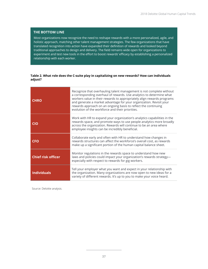# **THE BOTTOM LINE**

Most organizations now recognize the need to reshape rewards with a more personalized, agile, and holistic approach, matching other talent management strategies. The few organizations that have translated recognition into action have expanded their definition of rewards and looked beyond traditional approaches to design and delivery. The field remains wide open for organizations to experiment and test new tools in the effort to boost rewards' efficacy by establishing a personalized relationship with each worker.

#### **Table 2. What role does the C-suite play in capitalizing on new rewards? How can individuals adjust?**

| <b>CHRO</b>               | Recognize that overhauling talent management is not complete without<br>a corresponding overhaul of rewards. Use analytics to determine what<br>workers value in their rewards to appropriately align rewards programs<br>and generate a market advantage for your organization. Revisit your<br>rewards approach on an ongoing basis to reflect the continuing<br>evolution of the workforce and their priorities. |
|---------------------------|---------------------------------------------------------------------------------------------------------------------------------------------------------------------------------------------------------------------------------------------------------------------------------------------------------------------------------------------------------------------------------------------------------------------|
| <b>CIO</b>                | Work with HR to expand your organization's analytics capabilities in the<br>rewards space, and promote ways to use people analytics more broadly<br>across the organization. Rewards will continue to be an area where<br>employee insights can be incredibly beneficial.                                                                                                                                           |
| <b>CFO</b>                | Collaborate early and often with HR to understand how changes in<br>rewards structures can affect the workforce's overall cost, as rewards<br>make up a significant portion of the human capital balance sheet.                                                                                                                                                                                                     |
| <b>Chief risk officer</b> | Monitor regulations in the rewards space to understand how new<br>laws and policies could impact your organization's rewards strategy-<br>especially with respect to rewards for gig workers.                                                                                                                                                                                                                       |
| <b>Individuals</b>        | Tell your employer what you want and expect in your relationship with<br>the organization. Many organizations are now open to new ideas for a<br>variety of different rewards. It's up to you to make your voice heard.                                                                                                                                                                                             |

Source: Deloitte analysis.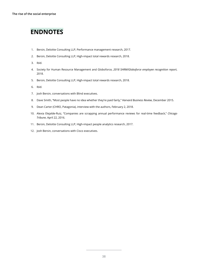# **ENDNOTES**

- 1. Bersin, Deloitte Consulting LLP, Performance management research, 2017.
- 2. Bersin, Deloitte Consulting LLP, High-impact total rewards research, 2018.
- 3. Ibid.
- 4. Society for Human Resource Management and Globoforce, *2018 SHRM/Globoforce employee recognition report*, 2018.
- 5. Bersin, Deloitte Consulting LLP, High-impact total rewards research, 2018.
- 6. Ibid.
- 7. Josh Bersin, conversations with Blind executives.
- 8. Dave Smith, "Most people have no idea whether they're paid fairly," *Harvard Business Review*, December 2015.
- 9. Dean Carter (CHRO, Patagonia), interview with the authors, February 2, 2018.
- 10. Alexia Elejalde-Ruiz, "Companies are scrapping annual performance reviews for real-time feedback," *Chicago Tribune*, April 22, 2016.
- 11. Bersin, Deloitte Consulting LLP, High-impact people analytics research, 2017.
- 12. Josh Bersin, conversations with Cisco executives.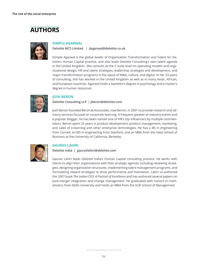# **AUTHORS**



#### **DIMPLE AGARWAL**

**Deloitte MCS Limited | dagarwal@deloitte.co.uk** 

Dimple Agarwal is the global leader of Organization Transformation and Talent for Deloitte's Human Capital practice, and also leads Deloitte Consulting's own talent agenda in the United Kingdom. She consults at the C-suite level on operating models and organizational design, HR and talent strategies, leadership strategies and development, and major transformation programs in the space of M&A, culture, and digital. In her 23 years of consulting, she has worked in the United Kingdom as well as in many Asian, African, and European countries. Agarwal holds a bachelor's degree in psychology and a master's degree in human resources.



#### **JOSH BERSIN**

**Deloitte Consulting LLP | jbersin@deloitte.com** 

Josh Bersin founded Bersin & Associates, now Bersin, in 2001 to provide research and advisory services focused on corporate learning. A frequent speaker at industry events and a popular blogger, he has been named one of HR's top influencers by multiple commentators. Bersin spent 25 years in product development, product management, marketing, and sales of e-learning and other enterprise technologies. He has a BS in engineering from Cornell, an MS in engineering from Stanford, and an MBA from the Haas School of Business at the University of California, Berkeley.



#### **GAURAV LAHIRI**

**Deloitte India | gauravlahiri@deloitte.com** 

Gaurav Lahiri leads Deloitte India's Human Capital consulting practice. He works with clients to align their organizations with their strategic agenda, including reviewing strategies, designing organization structures, implementing talent management programs, and formulating reward strategies to drive performance and motivation. Lahiri co-authored the 2007 book *The Indian CEO: A Portrait of Excellence* and has authored several papers on post-merger integration and change management. He graduated with honors in mathematics from Delhi University and holds an MBA from the XLRI School of Management.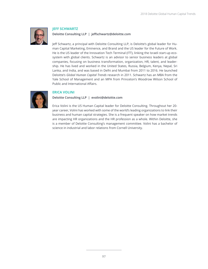

#### **JEFF SCHWARTZ**

**Deloitte Consulting LLP | jeffschwartz@deloitte.com** 

Jeff Schwartz, a principal with Deloitte Consulting LLP, is Deloitte's global leader for Human Capital Marketing, Eminence, and Brand and the US leader for the Future of Work. He is the US leader of the Innovation Tech Terminal (ITT), linking the Israeli start-up ecosystem with global clients. Schwartz is an advisor to senior business leaders at global companies, focusing on business transformation, organization, HR, talent, and leadership. He has lived and worked in the United States, Russia, Belgium, Kenya, Nepal, Sri Lanka, and India, and was based in Delhi and Mumbai from 2011 to 2016. He launched Deloitte's *Global Human Capital Trends* research in 2011. Schwartz has an MBA from the Yale School of Management and an MPA from Princeton's Woodrow Wilson School of Public and International Affairs.



# **ERICA VOLINI**

**Deloitte Consulting LLP | evolini@deloitte.com** 

Erica Volini is the US Human Capital leader for Deloitte Consulting. Throughout her 20 year career, Volini has worked with some of the world's leading organizations to link their business and human capital strategies. She is a frequent speaker on how market trends are impacting HR organizations and the HR profession as a whole. Within Deloitte, she is a member of Deloitte Consulting's management committee. Volini has a bachelor of science in industrial and labor relations from Cornell University.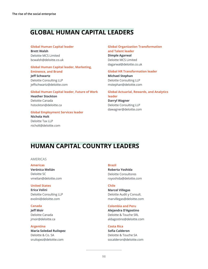# **GLOBAL HUMAN CAPITAL LEADERS**

#### **Global Human Capital leader**

**Brett Walsh** Deloitte MCS Limited bcwalsh@deloitte.co.uk

#### **Global Human Capital leader, Marketing, Eminence, and Brand**

**Jeff Schwartz**  Deloitte Consulting LLP jeffschwartz@deloitte.com

#### **Global Human Capital leader, Future of Work**

**Heather Stockton**  Deloitte Canada hstockton@deloitte.ca

#### **Global Employment Services leader**

**Nichola Holt** Deloitte Tax LLP nicholt@deloitte.com

#### **Global Organization Transformation and Talent leader**

**Dimple Agarwal** Deloitte MCS Limited dagarwal@deloitte.co.uk

#### **Global HR Transformation leader**

**Michael Stephan** Deloitte Consulting LLP mstephan@deloitte.com

## **Global Actuarial, Rewards, and Analytics leader**

**Darryl Wagner** Deloitte Consulting LLP [dawagner@deloitte.com](mailto:dawagner%40deloitte.com?subject=) 

# **HUMAN CAPITAL COUNTRY LEADERS**

#### AMERICAS

#### **Americas**

**Verónica Melián** Deloitte SC vmelian@deloitte.com

#### **United States**

**Erica Volini** Deloitte Consulting LLP evolini[@deloitte.com](mailto:evolini%40deloitte.com?subject=)

#### **Canada**

**Jeff Moir** Deloitte Canada jmoi[r@deloitte.ca](mailto:JMOIR%40deloitte.ca?subject=)

#### **Argentina**

**Maria Soledad Ruilopez** Deloitte & Co. SA sruilopez@deloitte.com

#### **Brazil**

**Roberta Yoshida** Deloitte Consultores royoshid[a@deloitte.c](mailto:royoshida%40deloitte.com?subject=)om

#### **Chile**

**Marcel Villegas** Deloitte Audit y Consult. marvillegas@deloitte.com

#### **Colombia and Peru**

**Alejandra D'Agostino** Deloitte & Touche SRL [aldagostino@deloitte.com](mailto:aldagostino%40deloitte.com?subject=)

#### **Costa Rica**

**Sofia Calderon** Deloitte & Touche SA socalderon@deloitte.com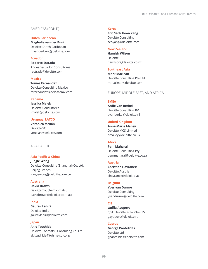#### AMERICAS (CONT.)

#### **Dutch Caribbean**

**Maghalie van der Bunt** Deloitte Dutch Caribbean mvanderbunt@deloitte.com

#### **Ecuador**

**Roberto Estrada** Andeanecuador Consultores restrada@deloitte.com

# **Mexico**

**Tomas Fernandez**  Deloitte Consulting Mexico tofernandez@deloittemx.com

#### **Panama**

**Jessika Malek** Deloitte Consultores jmalek@deloitte.com

#### **Uruguay, LATCO**

**Verónica Melián** Deloitte SC vmelian@deloitte.com

#### ASIA PACIFIC

# **Asia Pacific & China**

**Jungle Wong** Deloitte Consulting (Shanghai) Co. Ltd, Beijing Branch junglewong@deloitte.com.cn

#### **Australia**

**David Brown** Deloitte Touche Tohmatsu davidbrown@deloitte.com.au

#### **India**

**Gaurav Lahiri** Deloitte India [gauravlahiri@deloitte.com](mailto:gauravlahiri%40deloitte.com?subject=)

# **Japan**

**Akio Tsuchida** Deloitte Tohmatsu Consulting Co. Ltd akitsuchida@tohmatsu.co.jp

#### **Korea**

**Eric Seok Hoon Yang**  Deloitte Consulting seoyang@deloitte.com

#### **New Zealand**

**Hamish Wilson** Deloitte hawilson@deloitte.co.nz

## **Southeast Asia**

**Mark Maclean** Deloitte Consulting Pte Ltd mmaclean@deloitte.com

#### EUROPE, MIDDLE EAST, AND AFRICA

#### **EMEA**

**Ardie Van Berkel** Deloitte Consulting BV avanberkel@deloitte.nl

#### **United Kingdom**

**Anne-Marie Malley** Deloitte MCS Limited amalley@deloitte.co.uk

#### **Africa**

**Pam Maharaj** Deloitte Consulting Pty pammaharaj@deloitte.co.za

#### **Austria**

**Christian Havranek** Deloitte Austria chavranek@deloitte.at

#### **Belgium**

**Yves van Durme** Deloitte Consulting yvandurme@deloitte.com

#### **CIS**

**Gulfia Ayupova** CJSC Deloitte & Touche CIS gayupova@deloitte.ru

## **Cyprus**

**George Pantelides** Deloitte Ltd gpantelides@deloitte.com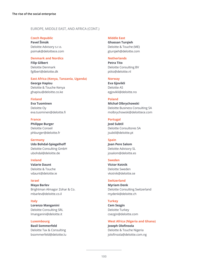## EUROPE, MIDDLE EAST, AND AFRICA (CONT.)

#### **Czech Republic**

**Pavel Šimák** Deloitte Advisory s.r.o. psimak@deloittece.com

#### **Denmark and Nordics**

**Filip Gilbert** Deloitte Denmark fgilbert@deloitte.dk

#### **East Africa (Kenya, Tanzania, Uganda)**

**George Hapisu** Deloitte & Touche Kenya ghapisu@deloitte.co.ke

#### **Finland**

**Eva Tuominen** Deloitte Oy [eva.tuominen@deloitte.fi](mailto:eva.tuominen%40deloitte.fi?subject=)

#### **France**

**Philippe Burger** Deloitte Conseil phburger@deloitte.fr

#### **Germany Udo Bohdal-Spiegelhoff** Deloitte Consulting GmbH ubohdal@deloitte.de

#### **Ireland**

**Valarie Daunt** Deloitte & Touche vdaunt@deloitte.ie

#### **Israel**

**Maya Barlev** Brightman Almagor Zohar & Co. mbarlev@deloitte.co.il

**Italy Lorenzo Manganini** Deloitte Consulting SRL lmanganini@deloitte.it

#### **Luxembourg**

**Basil Sommerfeld** Deloitte Tax & Consulting bsommerfeld@deloitte.lu

#### **Middle East**

**Ghassan Turqieh** Deloitte & Touche (ME) gturqieh@deloitte.com

#### **Netherlands**

**Petra Tito** Deloitte Consulting BV ptito@deloitte.nl

#### **Norway**

**Eva Gjovikli** Deloitte AS egjovikli@deloitte.no

#### **Poland**

**Michał Olbrychowski** Deloitte Business Consulting SA molbrychowski@deloittece.com

#### **Portugal**

**José Subtil** Deloitte Consultores SA jsubtil@deloitte.pt

#### **Spain**

**Joan Pere Salom** Deloitte Advisory SL josalom@deloitte.es

#### **Sweden**

**Victor Kotnik** Deloitte Sweden vkotnik@deloitte.se

## **Switzerland**

**Myriam Denk** Deloitte Consulting Switzerland mydenk@deloitte.ch

#### **Turkey**

**Cem Sezgin** Deloitte Turkey csezgin@deloitte.com

# **West Africa (Nigeria and Ghana) Joseph Olofinsola**

Deloitte & Touche Nigeria jolofinsola@deloitte.com.ng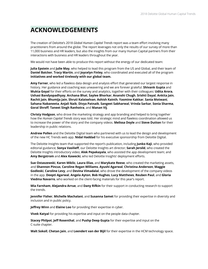# **ACKNOWLEDGEMENTS**

The creation of Deloitte's 2018 *Global Human Capital Trends* report was a team effort involving many practitioners from around the globe. The report leverages not only the results of our survey of more than 11,000 business and HR leaders, but also the insights from our many Human Capital partners from their interactions with business and HR leaders throughout the year.

We would not have been able to produce this report without the energy of our dedicated team:

**Julia Epstein** and **Julie May**, who helped to lead this program from the US and Global, and their team of **Daniel Baicker, Tracy Martin**, and **Joycelyn Finley**, who coordinated and executed all of the program **initiatives and worked tirelessly with our global team.**

**Amy Farner**, who led a flawless data design and analysis effort that generated our largest response in history. Her guidance and coaching was unwavering and we are forever grateful. **Shivank Gupta** and **Mukta Goyal** for their efforts on the survey and analytics, together with their colleagues: **Udita Arora**, **Ushasi Bandyopadhyay**, **Archana Bhat**, **Saylee Bhorkar**, **Ananshi Chugh**, **Srishti Dayal**, **Ankita Jain**, **Rachit Jain**, **Bhumija Jain**, **Shruti Kalaiselvan**, **Ashish Kainth**, **Yasmine Kakkar**, **Sania Motwani**, **Sahana Nabaneeta**, **Anjali Naik**, **Divya Patnaik**, **Sangeet Sabharwal**, **Vrinda Sarkar**, **Sonia Sharma**, **Goral Shroff**, **Taneet Singh Ranhotra**, and **Manan Vij**.

**Christy Hodgson**, who drove the marketing strategy and app branding and helped to bring together how the *Human Capital Trends* story was told. Her strategic mind and flawless coordination allowed us to increase the power of the story and the company videos. **Melissa Doyle** and **Steve Dutton** for their leadership in public relations.

**Andrew Pollen** and the Deloitte Digital team who partnered with us to lead the design and development of the new HC Trends web app. **Nidal Haddad** for his executive sponsorship from Deloitte Digital.

The Deloitte Insights team that supported the report's publication, including **Junko Kaji**, who provided editorial guidance; **Sonya Vasilieff**, our Deloitte Insights art director; **Sarah Jersild**, who created the Deloitte Insights introductory video; **Alok Pepakayala**, who assisted the app development team; and **Amy Bergstrom** and **Alex Kawecki**, who led Deloitte Insights' deployment efforts.

**Sue Ostaszewski**, **Karen Miklic**, **Laura Elias**, and **Marykate Reese**, who created the marketing assets, and **Shannon Pincus**, **Caroline Regan Williams**, **Ayushi Agarwal**, **Christina Anderson**, **Maggie Godleski**, **Caroline Levy**, and **Devina Vimadalal**, who drove the development of the company videos in the app. **Deepti Agarwal**, **Angela Ayton**, **Bob Hughes**, **Lucy Matthews**, **Reuben Paul**, and **Gloria Viedma Navarro**, who worked on the client-facing materials for this year's report.

**Mia Farnham**, **Alejandra Arrue**, and **Dany Rifkin** for their support in conducting research to support the trends.

**Jennifer Fisher**, **Michelle Machalani**, and **Susanna Samet** for providing their expertise in diversity and inclusion and in public policy.

**Jeffrey Winn** and **Elaine Loo** for providing their expertise in cyber.

**Vivek Katyal** for providing his expertise and input on the people data chapter.

**Stacey Philpot**, **Jeff Rosenthal**, and **Pushp Deep Gupta** for their expertise and input on the C-suite chapter.

**Walt Sokoll**, **Chetan Jain**, and **Leendert van der Bijil** for their expertise in the HCM technology space.